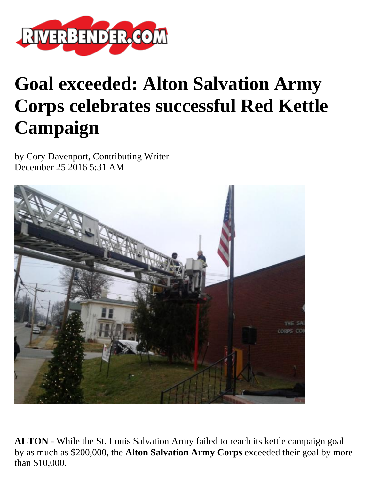

## **Goal exceeded: Alton Salvation Army Corps celebrates successful Red Kettle Campaign**

by Cory Davenport, Contributing Writer December 25 2016 5:31 AM



**ALTON** - While the St. Louis Salvation Army failed to reach its kettle campaign goal by as much as \$200,000, the **Alton Salvation Army Corps** exceeded their goal by more than \$10,000.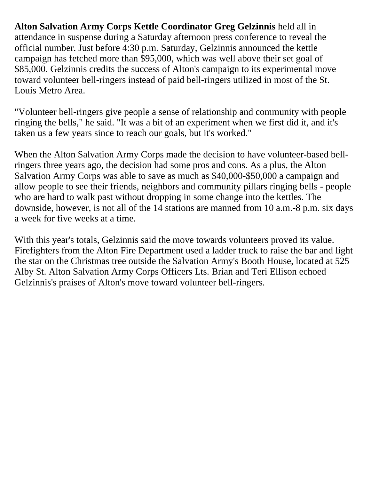**Alton Salvation Army Corps Kettle Coordinator Greg Gelzinnis** held all in attendance in suspense during a Saturday afternoon press conference to reveal the official number. Just before 4:30 p.m. Saturday, Gelzinnis announced the kettle campaign has fetched more than \$95,000, which was well above their set goal of \$85,000. Gelzinnis credits the success of Alton's campaign to its experimental move toward volunteer bell-ringers instead of paid bell-ringers utilized in most of the St. Louis Metro Area.

"Volunteer bell-ringers give people a sense of relationship and community with people ringing the bells," he said. "It was a bit of an experiment when we first did it, and it's taken us a few years since to reach our goals, but it's worked."

When the Alton Salvation Army Corps made the decision to have volunteer-based bellringers three years ago, the decision had some pros and cons. As a plus, the Alton Salvation Army Corps was able to save as much as \$40,000-\$50,000 a campaign and allow people to see their friends, neighbors and community pillars ringing bells - people who are hard to walk past without dropping in some change into the kettles. The downside, however, is not all of the 14 stations are manned from 10 a.m.-8 p.m. six days a week for five weeks at a time.

With this year's totals, Gelzinnis said the move towards volunteers proved its value. Firefighters from the Alton Fire Department used a ladder truck to raise the bar and light the star on the Christmas tree outside the Salvation Army's Booth House, located at 525 Alby St. Alton Salvation Army Corps Officers Lts. Brian and Teri Ellison echoed Gelzinnis's praises of Alton's move toward volunteer bell-ringers.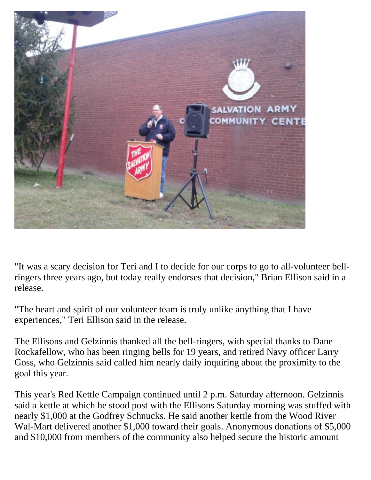

"It was a scary decision for Teri and I to decide for our corps to go to all-volunteer bellringers three years ago, but today really endorses that decision," Brian Ellison said in a release.

"The heart and spirit of our volunteer team is truly unlike anything that I have experiences," Teri Ellison said in the release.

The Ellisons and Gelzinnis thanked all the bell-ringers, with special thanks to Dane Rockafellow, who has been ringing bells for 19 years, and retired Navy officer Larry Goss, who Gelzinnis said called him nearly daily inquiring about the proximity to the goal this year.

This year's Red Kettle Campaign continued until 2 p.m. Saturday afternoon. Gelzinnis said a kettle at which he stood post with the Ellisons Saturday morning was stuffed with nearly \$1,000 at the Godfrey Schnucks. He said another kettle from the Wood River Wal-Mart delivered another \$1,000 toward their goals. Anonymous donations of \$5,000 and \$10,000 from members of the community also helped secure the historic amount